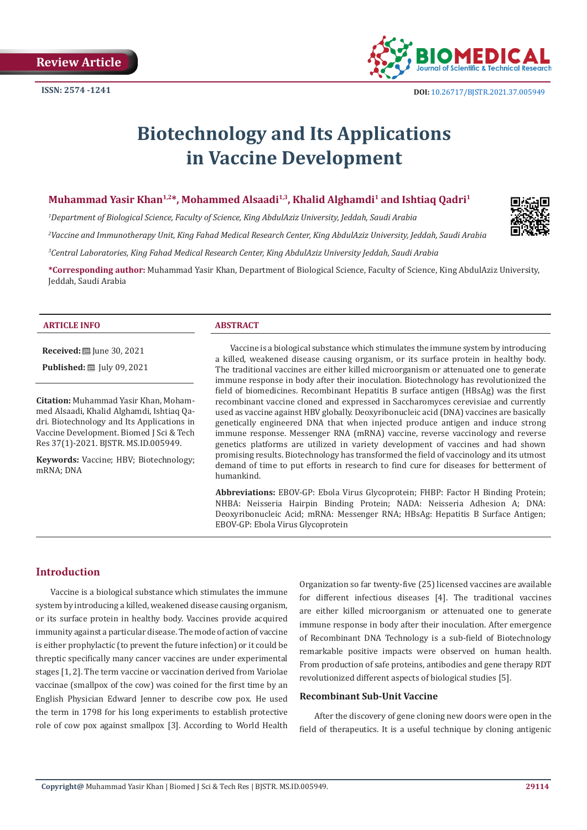

# **Biotechnology and Its Applications in Vaccine Development**

# Muhammad Yasir Khan<sup>1,2\*</sup>, Mohammed Alsaadi<sup>1,3</sup>, Khalid Alghamdi<sup>1</sup> and Ishtiaq Qadri<sup>1</sup>

*1 Department of Biological Science, Faculty of Science, King AbdulAziz University, Jeddah, Saudi Arabia*

*2 Vaccine and Immunotherapy Unit, King Fahad Medical Research Center, King AbdulAziz University, Jeddah, Saudi Arabia*

*3 Central Laboratories, King Fahad Medical Research Center, King AbdulAziz University Jeddah, Saudi Arabia*

**\*Corresponding author:** Muhammad Yasir Khan, Department of Biological Science, Faculty of Science, King AbdulAziz University, Jeddah, Saudi Arabia

#### **ARTICLE INFO ABSTRACT**

**Received:** ■ June 30, 2021

**Published:** [Uly 09, 2021]

**Citation:** Muhammad Yasir Khan, Mohammed Alsaadi, Khalid Alghamdi, Ishtiaq Qadri. Biotechnology and Its Applications in Vaccine Development. Biomed J Sci & Tech Res 37(1)-2021. BJSTR. MS.ID.005949.

**Keywords:** Vaccine; HBV; Biotechnology; mRNA; DNA

Vaccine is a biological substance which stimulates the immune system by introducing a killed, weakened disease causing organism, or its surface protein in healthy body. The traditional vaccines are either killed microorganism or attenuated one to generate immune response in body after their inoculation. Biotechnology has revolutionized the field of biomedicines. Recombinant Hepatitis B surface antigen (HBsAg) was the first recombinant vaccine cloned and expressed in Saccharomyces cerevisiae and currently used as vaccine against HBV globally. Deoxyribonucleic acid (DNA) vaccines are basically genetically engineered DNA that when injected produce antigen and induce strong immune response. Messenger RNA (mRNA) vaccine, reverse vaccinology and reverse genetics platforms are utilized in variety development of vaccines and had shown promising results. Biotechnology has transformed the field of vaccinology and its utmost demand of time to put efforts in research to find cure for diseases for betterment of humankind.

**Abbreviations:** EBOV-GP: Ebola Virus Glycoprotein; FHBP: Factor H Binding Protein; NHBA: Neisseria Hairpin Binding Protein; NADA: Neisseria Adhesion A; DNA: Deoxyribonucleic Acid; mRNA: Messenger RNA; HBsAg: Hepatitis B Surface Antigen; EBOV-GP: Ebola Virus Glycoprotein

# **Introduction**

Vaccine is a biological substance which stimulates the immune system by introducing a killed, weakened disease causing organism, or its surface protein in healthy body. Vaccines provide acquired immunity against a particular disease. The mode of action of vaccine is either prophylactic (to prevent the future infection) or it could be threptic specifically many cancer vaccines are under experimental stages [1, 2]. The term vaccine or vaccination derived from Variolae vaccinae (smallpox of the cow) was coined for the first time by an English Physician Edward Jenner to describe cow pox. He used the term in 1798 for his long experiments to establish protective role of cow pox against smallpox [3]. According to World Health

Organization so far twenty-five (25) licensed vaccines are available for different infectious diseases [4]. The traditional vaccines are either killed microorganism or attenuated one to generate immune response in body after their inoculation. After emergence of Recombinant DNA Technology is a sub-field of Biotechnology remarkable positive impacts were observed on human health. From production of safe proteins, antibodies and gene therapy RDT revolutionized different aspects of biological studies [5].

# **Recombinant Sub-Unit Vaccine**

After the discovery of gene cloning new doors were open in the field of therapeutics. It is a useful technique by cloning antigenic

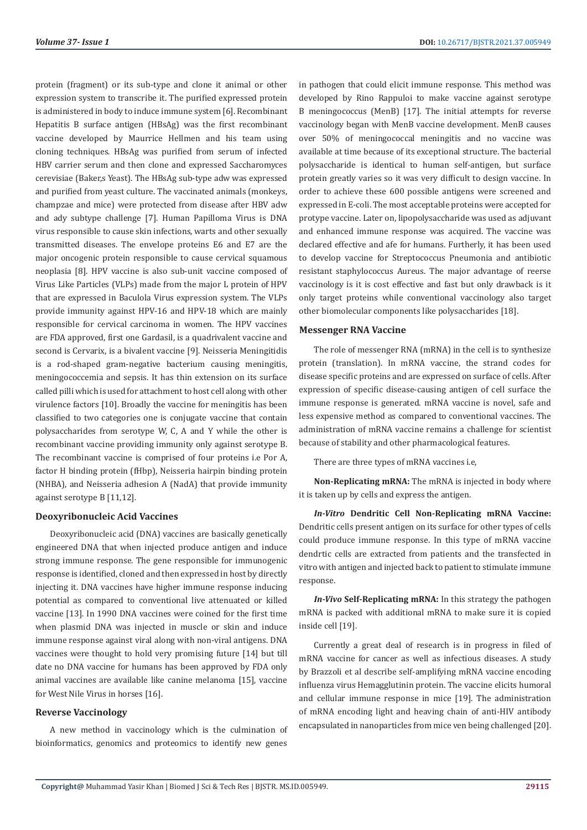protein (fragment) or its sub-type and clone it animal or other expression system to transcribe it. The purified expressed protein is administered in body to induce immune system [6]. Recombinant Hepatitis B surface antigen (HBsAg) was the first recombinant vaccine developed by Maurrice Hellmen and his team using cloning techniques. HBsAg was purified from serum of infected HBV carrier serum and then clone and expressed Saccharomyces cerevisiae (Baker,s Yeast). The HBsAg sub-type adw was expressed and purified from yeast culture. The vaccinated animals (monkeys, champzae and mice) were protected from disease after HBV adw and ady subtype challenge [7]. Human Papilloma Virus is DNA virus responsible to cause skin infections, warts and other sexually transmitted diseases. The envelope proteins E6 and E7 are the major oncogenic protein responsible to cause cervical squamous neoplasia [8]. HPV vaccine is also sub-unit vaccine composed of Virus Like Particles (VLPs) made from the major L protein of HPV that are expressed in Baculola Virus expression system. The VLPs provide immunity against HPV-16 and HPV-18 which are mainly responsible for cervical carcinoma in women. The HPV vaccines are FDA approved, first one Gardasil, is a quadrivalent vaccine and second is Cervarix, is a bivalent vaccine [9]. Neisseria Meningitidis is a rod-shaped gram-negative bacterium causing meningitis, meningococcemia and sepsis. It has thin extension on its surface called pilli which is used for attachment to host cell along with other virulence factors [10]. Broadly the vaccine for meningitis has been classified to two categories one is conjugate vaccine that contain polysaccharides from serotype W, C, A and Y while the other is recombinant vaccine providing immunity only against serotype B. The recombinant vaccine is comprised of four proteins i.e Por A, factor H binding protein (fHbp), Neisseria hairpin binding protein (NHBA), and Neisseria adhesion A (NadA) that provide immunity against serotype B [11,12].

## **Deoxyribonucleic Acid Vaccines**

Deoxyribonucleic acid (DNA) vaccines are basically genetically engineered DNA that when injected produce antigen and induce strong immune response. The gene responsible for immunogenic response is identified, cloned and then expressed in host by directly injecting it. DNA vaccines have higher immune response inducing potential as compared to conventional live attenuated or killed vaccine [13]. In 1990 DNA vaccines were coined for the first time when plasmid DNA was injected in muscle or skin and induce immune response against viral along with non-viral antigens. DNA vaccines were thought to hold very promising future [14] but till date no DNA vaccine for humans has been approved by FDA only animal vaccines are available like canine melanoma [15], vaccine for West Nile Virus in horses [16].

## **Reverse Vaccinology**

A new method in vaccinology which is the culmination of bioinformatics, genomics and proteomics to identify new genes

in pathogen that could elicit immune response. This method was developed by Rino Rappuloi to make vaccine against serotype B meningococcus (MenB) [17]. The initial attempts for reverse vaccinology began with MenB vaccine development. MenB causes over 50% of meningococcal meningitis and no vaccine was available at time because of its exceptional structure. The bacterial polysaccharide is identical to human self-antigen, but surface protein greatly varies so it was very difficult to design vaccine. In order to achieve these 600 possible antigens were screened and expressed in E-coli. The most acceptable proteins were accepted for protype vaccine. Later on, lipopolysaccharide was used as adjuvant and enhanced immune response was acquired. The vaccine was declared effective and afe for humans. Furtherly, it has been used to develop vaccine for Streptococcus Pneumonia and antibiotic resistant staphylococcus Aureus. The major advantage of reerse vaccinology is it is cost effective and fast but only drawback is it only target proteins while conventional vaccinology also target other biomolecular components like polysaccharides [18].

# **Messenger RNA Vaccine**

The role of messenger RNA (mRNA) in the cell is to synthesize protein (translation). In mRNA vaccine, the strand codes for disease specific proteins and are expressed on surface of cells. After expression of specific disease-causing antigen of cell surface the immune response is generated. mRNA vaccine is novel, safe and less expensive method as compared to conventional vaccines. The administration of mRNA vaccine remains a challenge for scientist because of stability and other pharmacological features.

There are three types of mRNA vaccines i.e,

**Non-Replicating mRNA:** The mRNA is injected in body where it is taken up by cells and express the antigen.

*In-Vitro* **Dendritic Cell Non-Replicating mRNA Vaccine:** Dendritic cells present antigen on its surface for other types of cells could produce immune response. In this type of mRNA vaccine dendrtic cells are extracted from patients and the transfected in vitro with antigen and injected back to patient to stimulate immune response.

*In-Vivo* **Self-Replicating mRNA:** In this strategy the pathogen mRNA is packed with additional mRNA to make sure it is copied inside cell [19].

Currently a great deal of research is in progress in filed of mRNA vaccine for cancer as well as infectious diseases. A study by Brazzoli et al describe self-amplifying mRNA vaccine encoding influenza virus Hemagglutinin protein. The vaccine elicits humoral and cellular immune response in mice [19]. The administration of mRNA encoding light and heaving chain of anti-HIV antibody encapsulated in nanoparticles from mice ven being challenged [20].